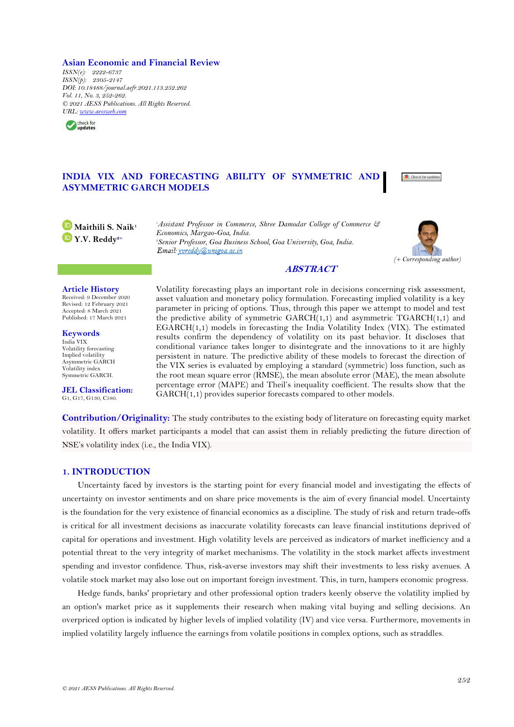**Asian Economic and Financial Review**

*ISSN(e): 2222-6737 ISSN(p): 2305-2147 DOI: 10.18488/journal.aefr.2021.113.252.262 Vol. 11, No. 3, 252-262. © 2021 AESS Publications. All Rights Reserved. URL: [www.aessweb.com](http://www.aessweb.com/)*



# **INDIA VIX AND FORECASTING ABILITY OF SYMMETRIC AND ASYMMETRIC GARCH MODELS**



**Maithili S. Naik<sup>1</sup> Y.V. Reddy2+**

*<sup>1</sup>Assistant Professor in Commerce, Shree Damodar College of Commerce & Economics, Margao-Goa, India. <sup>2</sup>Senior Professor, Goa Business School, Goa University, Goa, India.*



### **ABSTRACT**

### **Article History**

Received: 9 December 2020 Revised: 12 February 2021 Accepted: 8 March 2021 Published: 17 March 2021

**Keywords** India VIX Volatility forecasting Implied volatility Asymmetric GARCH Volatility index Symmetric GARCH.

**JEL Classification:** G1, G17, G130, C580.

Volatility forecasting plays an important role in decisions concerning risk assessment, asset valuation and monetary policy formulation. Forecasting implied volatility is a key parameter in pricing of options. Thus, through this paper we attempt to model and test the predictive ability of symmetric  $GARCH(1,1)$  and asymmetric  $TGARCH(1,1)$  and EGARCH(1,1) models in forecasting the India Volatility Index (VIX). The estimated results confirm the dependency of volatility on its past behavior. It discloses that conditional variance takes longer to disintegrate and the innovations to it are highly persistent in nature. The predictive ability of these models to forecast the direction of the VIX series is evaluated by employing a standard (symmetric) loss function, such as the root mean square error (RMSE), the mean absolute error (MAE), the mean absolute percentage error (MAPE) and Theil's inequality coefficient. The results show that the GARCH(1,1) provides superior forecasts compared to other models.

**Contribution/Originality:** The study contributes to the existing body of literature on forecasting equity market volatility. It offers market participants a model that can assist them in reliably predicting the future direction of NSE's volatility index (i.e., the India VIX).

## **1. INTRODUCTION**

Uncertainty faced by investors is the starting point for every financial model and investigating the effects of uncertainty on investor sentiments and on share price movements is the aim of every financial model. Uncertainty is the foundation for the very existence of financial economics as a discipline. The study of risk and return trade-offs is critical for all investment decisions as inaccurate volatility forecasts can leave financial institutions deprived of capital for operations and investment. High volatility levels are perceived as indicators of market inefficiency and a potential threat to the very integrity of market mechanisms. The volatility in the stock market affects investment spending and investor confidence. Thus, risk-averse investors may shift their investments to less risky avenues. A volatile stock market may also lose out on important foreign investment. This, in turn, hampers economic progress.

Hedge funds, banks' proprietary and other professional option traders keenly observe the volatility implied by an option's market price as it supplements their research when making vital buying and selling decisions. An overpriced option is indicated by higher levels of implied volatility (IV) and vice versa. Furthermore, movements in implied volatility largely influence the earnings from volatile positions in complex options, such as straddles.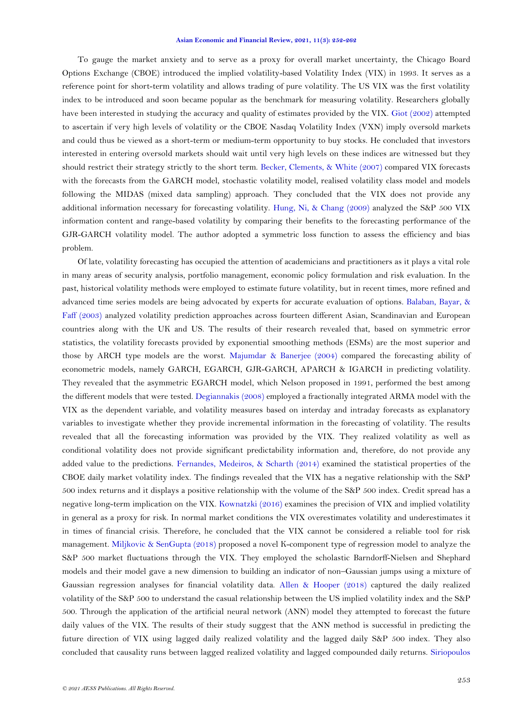To gauge the market anxiety and to serve as a proxy for overall market uncertainty, the Chicago Board Options Exchange (CBOE) introduced the implied volatility-based Volatility Index (VIX) in 1993. It serves as a reference point for short-term volatility and allows trading of pure volatility. The US VIX was the first volatility index to be introduced and soon became popular as the benchmark for measuring volatility. Researchers globally have been interested in studying the accuracy and quality of estimates provided by the VIX. [Giot \(2002\)](#page-9-0) attempted to ascertain if very high levels of volatility or the CBOE Nasdaq Volatility Index (VXN) imply oversold markets and could thus be viewed as a short-term or medium-term opportunity to buy stocks. He concluded that investors interested in entering oversold markets should wait until very high levels on these indices are witnessed but they should restrict their strategy strictly to the short term. [Becker, Clements, &](#page-9-1) White (2007) compared VIX forecasts with the forecasts from the GARCH model, stochastic volatility model, realised volatility class model and models following the MIDAS (mixed data sampling) approach. They concluded that the VIX does not provide any additional information necessary for forecasting volatility. Hung, Ni, & [Chang \(2009\)](#page-9-2) analyzed the S&P 500 VIX information content and range-based volatility by comparing their benefits to the forecasting performance of the GJR-GARCH volatility model. The author adopted a symmetric loss function to assess the efficiency and bias problem.

Of late, volatility forecasting has occupied the attention of academicians and practitioners as it plays a vital role in many areas of security analysis, portfolio management, economic policy formulation and risk evaluation. In the past, historical volatility methods were employed to estimate future volatility, but in recent times, more refined and advanced time series models are being advocated by experts for accurate evaluation of options. [Balaban, Bayar, &](#page-9-3) [Faff \(2003\)](#page-9-3) analyzed volatility prediction approaches across fourteen different Asian, Scandinavian and European countries along with the UK and US. The results of their research revealed that, based on symmetric error statistics, the volatility forecasts provided by exponential smoothing methods (ESMs) are the most superior and those by ARCH type models are the worst. Majumdar & [Banerjee \(2004\)](#page-9-4) compared the forecasting ability of econometric models, namely GARCH, EGARCH, GJR-GARCH, APARCH & IGARCH in predicting volatility. They revealed that the asymmetric EGARCH model, which Nelson proposed in 1991, performed the best among the different models that were tested. [Degiannakis \(2008\)](#page-9-5) employed a fractionally integrated ARMA model with the VIX as the dependent variable, and volatility measures based on interday and intraday forecasts as explanatory variables to investigate whether they provide incremental information in the forecasting of volatility. The results revealed that all the forecasting information was provided by the VIX. They realized volatility as well as conditional volatility does not provide significant predictability information and, therefore, do not provide any added value to the predictions. [Fernandes, Medeiros, &](#page-9-6) Scharth (2014) examined the statistical properties of the CBOE daily market volatility index. The findings revealed that the VIX has a negative relationship with the S&P 500 index returns and it displays a positive relationship with the volume of the S&P 500 index. Credit spread has a negative long-term implication on the VIX. [Kownatzki \(2016\)](#page-9-7) examines the precision of VIX and implied volatility in general as a proxy for risk. In normal market conditions the VIX overestimates volatility and underestimates it in times of financial crisis. Therefore, he concluded that the VIX cannot be considered a reliable tool for risk management. Miljkovic & [SenGupta \(2018\)](#page-9-8) proposed a novel K-component type of regression model to analyze the S&P 500 market fluctuations through the VIX. They employed the scholastic Barndorff-Nielsen and Shephard models and their model gave a new dimension to building an indicator of non–Gaussian jumps using a mixture of Gaussian regression analyses for financial volatility data. [Allen &](#page-9-9) Hooper (2018) captured the daily realized volatility of the S&P 500 to understand the casual relationship between the US implied volatility index and the S&P 500. Through the application of the artificial neural network (ANN) model they attempted to forecast the future daily values of the VIX. The results of their study suggest that the ANN method is successful in predicting the future direction of VIX using lagged daily realized volatility and the lagged daily S&P 500 index. They also concluded that causality runs between lagged realized volatility and lagged compounded daily returns. [Siriopoulos](#page-9-4)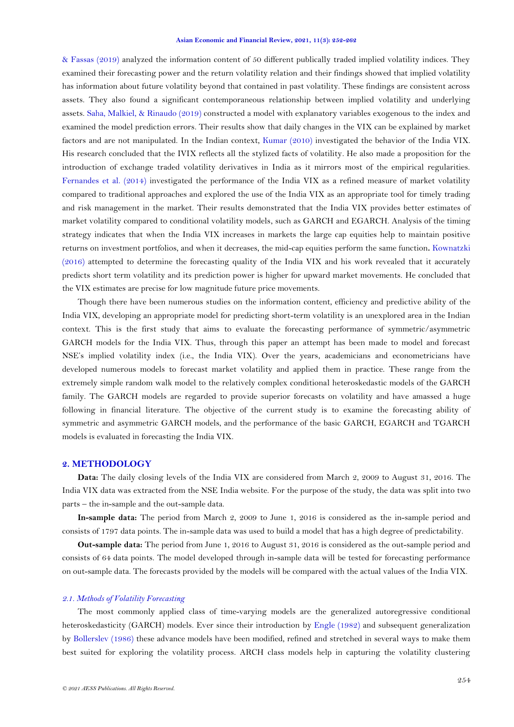& [Fassas \(2019\)](#page-9-4) analyzed the information content of 50 different publically traded implied volatility indices. They examined their forecasting power and the return volatility relation and their findings showed that implied volatility has information about future volatility beyond that contained in past volatility. These findings are consistent across assets. They also found a significant contemporaneous relationship between implied volatility and underlying assets. [Saha, Malkiel, &](#page-9-4) Rinaudo (2019) constructed a model with explanatory variables exogenous to the index and examined the model prediction errors. Their results show that daily changes in the VIX can be explained by market factors and are not manipulated. In the Indian context, [Kumar \(2010\)](#page-9-10) investigated the behavior of the India VIX. His research concluded that the IVIX reflects all the stylized facts of volatility. He also made a proposition for the introduction of exchange traded volatility derivatives in India as it mirrors most of the empirical regularities. [Fernandes et al. \(2014\)](#page-9-6) investigated the performance of the India VIX as a refined measure of market volatility compared to traditional approaches and explored the use of the India VIX as an appropriate tool for timely trading and risk management in the market. Their results demonstrated that the India VIX provides better estimates of market volatility compared to conditional volatility models, such as GARCH and EGARCH. Analysis of the timing strategy indicates that when the India VIX increases in markets the large cap equities help to maintain positive returns on investment portfolios, and when it decreases, the mid-cap equities perform the same function**.** [Kownatzki](#page-9-7)  [\(2016\)](#page-9-7) attempted to determine the forecasting quality of the India VIX and his work revealed that it accurately predicts short term volatility and its prediction power is higher for upward market movements. He concluded that the VIX estimates are precise for low magnitude future price movements.

Though there have been numerous studies on the information content, efficiency and predictive ability of the India VIX, developing an appropriate model for predicting short-term volatility is an unexplored area in the Indian context. This is the first study that aims to evaluate the forecasting performance of symmetric/asymmetric GARCH models for the India VIX. Thus, through this paper an attempt has been made to model and forecast NSE's implied volatility index (i.e., the India VIX). Over the years, academicians and econometricians have developed numerous models to forecast market volatility and applied them in practice. These range from the extremely simple random walk model to the relatively complex conditional heteroskedastic models of the GARCH family. The GARCH models are regarded to provide superior forecasts on volatility and have amassed a huge following in financial literature. The objective of the current study is to examine the forecasting ability of symmetric and asymmetric GARCH models, and the performance of the basic GARCH, EGARCH and TGARCH models is evaluated in forecasting the India VIX.

## **2. METHODOLOGY**

**Data:** The daily closing levels of the India VIX are considered from March 2, 2009 to August 31, 2016. The India VIX data was extracted from the NSE India website. For the purpose of the study, the data was split into two parts – the in-sample and the out-sample data.

**In-sample data:** The period from March 2, 2009 to June 1, 2016 is considered as the in-sample period and consists of 1797 data points. The in-sample data was used to build a model that has a high degree of predictability.

**Out-sample data:** The period from June 1, 2016 to August 31, 2016 is considered as the out-sample period and consists of 64 data points. The model developed through in-sample data will be tested for forecasting performance on out-sample data. The forecasts provided by the models will be compared with the actual values of the India VIX.

### *2.1. Methods of Volatility Forecasting*

The most commonly applied class of time-varying models are the generalized autoregressive conditional heteroskedasticity (GARCH) models. Ever since their introduction by [Engle \(1982\)](#page-9-11) and subsequent generalization by [Bollerslev \(1986\)](#page-9-12) these advance models have been modified, refined and stretched in several ways to make them best suited for exploring the volatility process. ARCH class models help in capturing the volatility clustering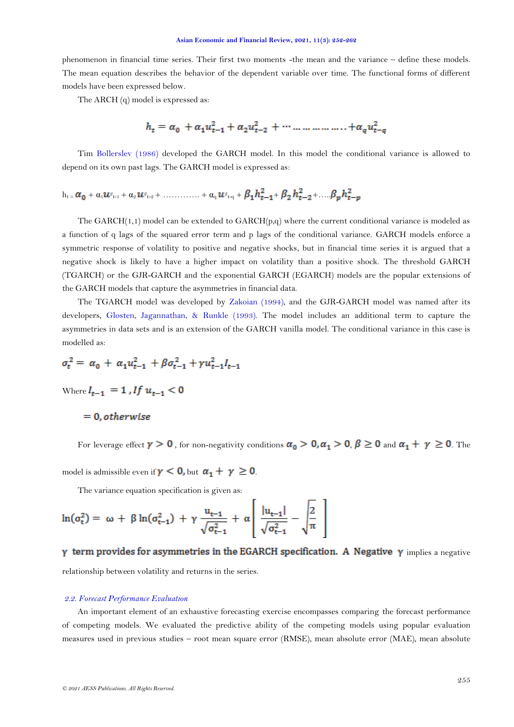phenomenon in financial time series. Their first two moments -the mean and the variance – define these models. The mean equation describes the behavior of the dependent variable over time. The functional forms of different models have been expressed below.

The ARCH (q) model is expressed as:

$$
h_t = \alpha_0 + \alpha_1 u_{t-1}^2 + \alpha_2 u_{t-2}^2 + \dots + \dots + \alpha_q u_{t-q}^2
$$

Tim [Bollerslev \(1986\)](#page-9-12) developed the GARCH model. In this model the conditional variance is allowed to depend on its own past lags. The GARCH model is expressed as:

$$
h_{t} = \alpha_{0} + \alpha_{1}u_{t-1} + \alpha_{2}u_{t-2} + \ldots + \alpha_{q}u_{t-q} + \beta_{1}h_{t-1}^{2} + \beta_{2}h_{t-2}^{2} + \ldots + \beta_{p}h_{t-p}^{2}
$$

The  $GARCH(1,1)$  model can be extended to  $GARCH(p,q)$  where the current conditional variance is modeled as a function of q lags of the squared error term and p lags of the conditional variance. GARCH models enforce a symmetric response of volatility to positive and negative shocks, but in financial time series it is argued that a negative shock is likely to have a higher impact on volatility than a positive shock. The threshold GARCH (TGARCH) or the GJR-GARCH and the exponential GARCH (EGARCH) models are the popular extensions of the GARCH models that capture the asymmetries in financial data.

The TGARCH model was developed by [Zakoian \(1994\)](#page-9-4), and the GJR-GARCH model was named after its developers, [Glosten, Jagannathan, &](#page-9-13) Runkle (1993). The model includes an additional term to capture the asymmetries in data sets and is an extension of the GARCH vanilla model. The conditional variance in this case is modelled as:

$$
\sigma_t^2 = \alpha_0 + \alpha_1 u_{t-1}^2 + \beta \sigma_{t-1}^2 + \gamma u_{t-1}^2 I_{t-1}
$$

Where  $I_{t-1} = 1$ , If  $u_{t-1} < 0$ 

 $= 0$ , otherwise

For leverage effect  $\gamma > 0$ , for non-negativity conditions  $\alpha_0 > 0, \alpha_1 > 0, \beta \ge 0$  and  $\alpha_1 + \gamma \ge 0$ . The

model is admissible even if  $\gamma < 0$ , but  $\alpha_1 + \gamma \ge 0$ .

The variance equation specification is given as:

$$
\ln(\sigma_t^2) = \omega + \beta \ln(\sigma_{t-1}^2) + \gamma \frac{u_{t-1}}{\sqrt{\sigma_{t-1}^2}} + \alpha \left[ \frac{|u_{t-1}|}{\sqrt{\sigma_{t-1}^2}} - \sqrt{\frac{2}{\pi}} \right]
$$

 $\gamma$  term provides for asymmetries in the EGARCH specification. A Negative  $\gamma$  implies a negative relationship between volatility and returns in the series.

### *2.2. Forecast Performance Evaluation*

An important element of an exhaustive forecasting exercise encompasses comparing the forecast performance of competing models. We evaluated the predictive ability of the competing models using popular evaluation measures used in previous studies – root mean square error (RMSE), mean absolute error (MAE), mean absolute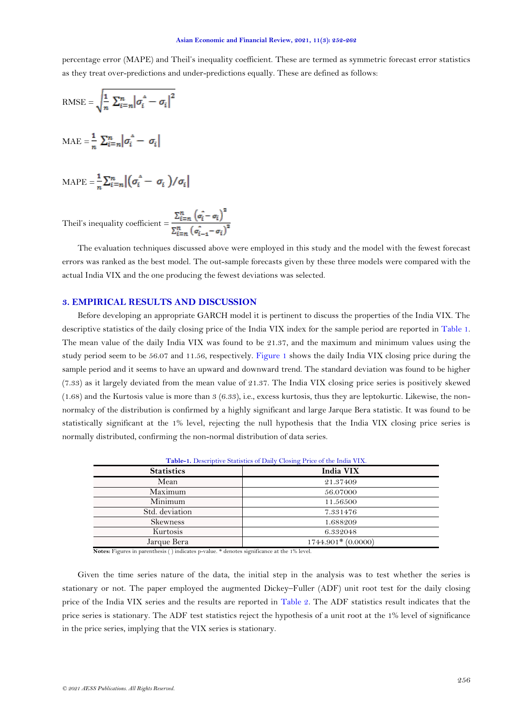<span id="page-4-1"></span>percentage error (MAPE) and Theil's inequality coefficient. These are termed as symmetric forecast error statistics as they treat over-predictions and under-predictions equally. These are defined as follows:

RMSE = 
$$
\sqrt{\frac{1}{n} \sum_{i=n}^{n} |\sigma_i^A - \sigma_i|^2}
$$

$$
MAE = \frac{1}{n} \sum_{i=n}^{n} |\sigma_i^A - \sigma_i|
$$

$$
\text{MAPE} = \frac{1}{n} \sum_{i=n}^{n} \left| \left( \sigma_i^A - \sigma_i \right) / \sigma_i \right|
$$

Theil's inequality coefficient =  $\frac{\sum_{i=n}^{n} (\sigma_i - \sigma_i)^2}{\sum_{i=n}^{n} (\sigma_{i-i} - \sigma_i)^2}$ 

The evaluation techniques discussed above were employed in this study and the model with the fewest forecast errors was ranked as the best model. The out-sample forecasts given by these three models were compared with the actual India VIX and the one producing the fewest deviations was selected.

# **3. EMPIRICAL RESULTS AND DISCUSSION**

Before developing an appropriate GARCH model it is pertinent to discuss the properties of the India VIX. The descriptive statistics of the daily closing price of the India VIX index for the sample period are reported in [Table 1.](#page-4-0) The mean value of the daily India VIX was found to be 21.37, and the maximum and minimum values using the study period seem to be 56.07 and 11.56, respectively. [Figure 1](#page-4-1) shows the daily India VIX closing price during the sample period and it seems to have an upward and downward trend. The standard deviation was found to be higher (7.33) as it largely deviated from the mean value of 21.37. The India VIX closing price series is positively skewed  $(1.68)$  and the Kurtosis value is more than 3  $(6.33)$ , i.e., excess kurtosis, thus they are leptokurtic. Likewise, the nonnormalcy of the distribution is confirmed by a highly significant and large Jarque Bera statistic. It was found to be statistically significant at the 1% level, rejecting the null hypothesis that the India VIX closing price series is normally distributed, confirming the non-normal distribution of data series.

<span id="page-4-0"></span>

| Table-1. Descriptive Statistics of Daily Closing Price of the India VIX. |                      |  |  |  |
|--------------------------------------------------------------------------|----------------------|--|--|--|
| <b>Statistics</b>                                                        | India VIX            |  |  |  |
| Mean                                                                     | 21.37409             |  |  |  |
| Maximum                                                                  | 56.07000             |  |  |  |
| Minimum                                                                  | 11.56500             |  |  |  |
| Std. deviation                                                           | 7.331476             |  |  |  |
| <b>Skewness</b>                                                          | 1.688209             |  |  |  |
| Kurtosis                                                                 | 6.332048             |  |  |  |
| Jarque Bera                                                              | $1744.901*$ (0.0000) |  |  |  |
|                                                                          |                      |  |  |  |

**Notes:** Figures in parenthesis ( ) indicates p-value. \* denotes significance at the 1% level.

Given the time series nature of the data, the initial step in the analysis was to test whether the series is stationary or not. The paper employed the augmented Dickey–Fuller (ADF) unit root test for the daily closing price of the India VIX series and the results are reported in [Table 2.](#page-5-0) The ADF statistics result indicates that the price series is stationary. The ADF test statistics reject the hypothesis of a unit root at the 1% level of significance in the price series, implying that the VIX series is stationary.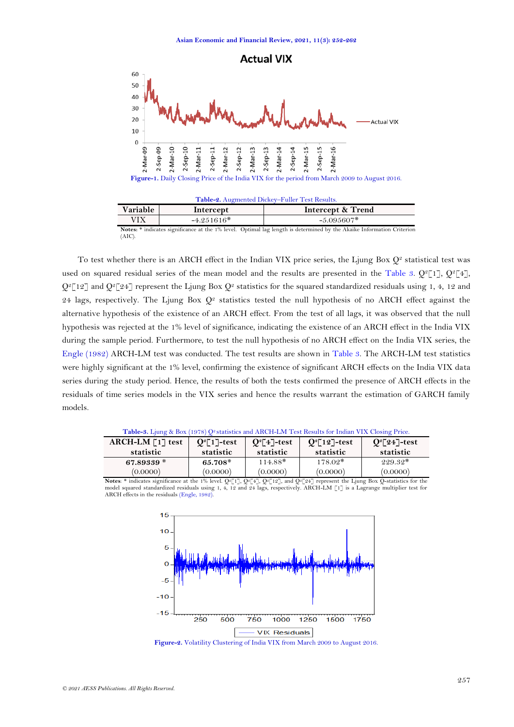

| Table-2. Augmented Dickey-Fuller Test Results. |              |                   |  |  |
|------------------------------------------------|--------------|-------------------|--|--|
| Variable                                       | Intercept    | Intercept & Trend |  |  |
| VIX                                            | $-4.251616*$ | $-5.095607*$      |  |  |
| .                                              | .            | .                 |  |  |

**Notes:** \* indicates significance at the 1% level. Optimal lag length is determined by the Akaike Information Criterion (AIC).

To test whether there is an ARCH effect in the Indian VIX price series, the Ljung Box  $Q^2$  statistical test was used on squared residual series of the mean model and the results are presented in the [Table 3.](#page-5-1)  $Q^2[1]$ ,  $Q^2[4]$ ,  $Q^2$ [12] and  $Q^2$ [24] represent the Ljung Box  $Q^2$  statistics for the squared standardized residuals using 1, 4, 12 and 24 lags, respectively. The Ljung Box  $Q^2$  statistics tested the null hypothesis of no ARCH effect against the alternative hypothesis of the existence of an ARCH effect. From the test of all lags, it was observed that the null hypothesis was rejected at the 1% level of significance, indicating the existence of an ARCH effect in the India VIX during the sample period. Furthermore, to test the null hypothesis of no ARCH effect on the India VIX series, the [Engle \(1982\)](#page-9-11) ARCH-LM test was conducted. The test results are shown in [Table 3.](#page-5-1) The ARCH-LM test statistics were highly significant at the 1% level, confirming the existence of significant ARCH effects on the India VIX data series during the study period. Hence, the results of both the tests confirmed the presence of ARCH effects in the residuals of time series models in the VIX series and hence the results warrant the estimation of GARCH family models.

| <b>Table-3.</b> Ljung & Box (1978) $Q^2$ statistics and ARCH-LM Test Results for Indian VIX Closing Price. |  |                   |
|------------------------------------------------------------------------------------------------------------|--|-------------------|
| ARCH-LM [1] test   $Q^2$ [1]-test   $Q^2$ [4]-test   $Q^2$ [12]-test                                       |  | $Q^{2}[24]$ -test |

<span id="page-5-1"></span>

| statistic                                                                                                                                                                                                                                                                           | statistic | statistic | statistic | statistic |  |
|-------------------------------------------------------------------------------------------------------------------------------------------------------------------------------------------------------------------------------------------------------------------------------------|-----------|-----------|-----------|-----------|--|
| 67.89339 $*$                                                                                                                                                                                                                                                                        | 65.708*   | $114.88*$ | $178.02*$ | $929.32*$ |  |
| (0.0000)                                                                                                                                                                                                                                                                            | (0.0000)  | (0.0000)  | (0.0000)  | (0.0000)  |  |
| <b>Notes:</b> * indicates significance at the 1% level. $Q^2[1]$ , $Q^2[1]$ , $Q^2[12]$ , and $Q^2[24]$ represent the Ljung Box Q-statistics for the<br>model coursed standardized needuals using 1, 4, 10 and 04 lags, nemestively. ADCH IM [17] is a Laguange multiplier test for |           |           |           |           |  |

tandardized residuals using 1, 4, 12 and 24 lags, respectively. ARCH-LM [1] is a Lagrange multiplier test for ARCH effects in the residuals [\(Engle, 1982\)](#page-9-11).

<span id="page-5-2"></span>

<span id="page-5-0"></span>L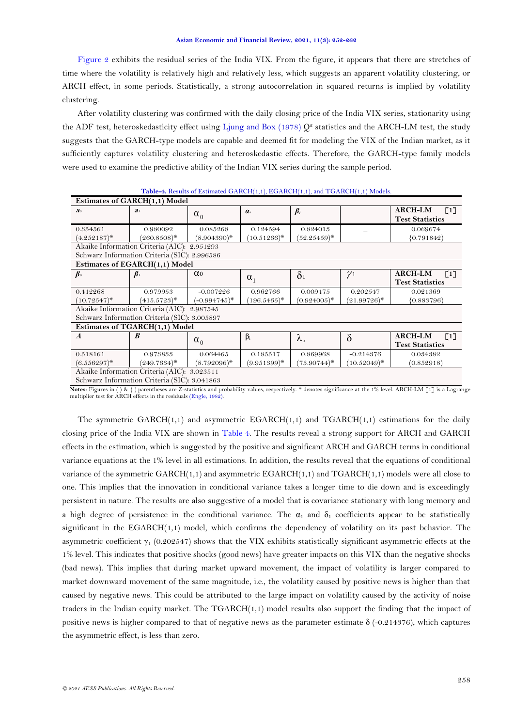<span id="page-6-1"></span>[Figure 2](#page-5-2) exhibits the residual series of the India VIX. From the figure, it appears that there are stretches of time where the volatility is relatively high and relatively less, which suggests an apparent volatility clustering, or ARCH effect, in some periods. Statistically, a strong autocorrelation in squared returns is implied by volatility clustering.

After volatility clustering was confirmed with the daily closing price of the India VIX series, stationarity using the ADF test, heteroskedasticity effect using [Ljung and Box \(1978\)](#page-9-14)  $Q^2$  statistics and the ARCH-LM test, the study suggests that the GARCH-type models are capable and deemed fit for modeling the VIX of the Indian market, as it sufficiently captures volatility clustering and heteroskedastic effects. Therefore, the GARCH-type family models were used to examine the predictive ability of the Indian VIX series during the sample period.

<span id="page-6-0"></span>

|                                              | <b>Table 1:</b> Results of Estimated OTHCH(1,1), EOTHCH(1,1), and TOTHCH(1,1) Models. |                       |                         |                |                |                                     |
|----------------------------------------------|---------------------------------------------------------------------------------------|-----------------------|-------------------------|----------------|----------------|-------------------------------------|
| Estimates of GARCH(1,1) Model                |                                                                                       |                       |                         |                |                |                                     |
| a <sub>o</sub>                               | a <sub>i</sub>                                                                        | $\alpha_0$            | $\alpha_i$              | $\beta_i$      |                | <b>ARCH-LM</b><br>$\lceil 1 \rceil$ |
|                                              |                                                                                       |                       |                         |                |                | <b>Test Statistics</b>              |
| 0.354561                                     | 0.980092                                                                              | 0.085268              | 0.124594                | 0.824013       |                | 0.069674                            |
| $(4.252187)^*$                               | $(260.8508)^*$                                                                        | $(8.904390)^*$        | $(10.51266)^*$          | $(52.25459)^*$ |                | (0.791842)                          |
|                                              | Akaike Information Criteria (AIC): 2.951293                                           |                       |                         |                |                |                                     |
|                                              | Schwarz Information Criteria (SIC): 2.996586                                          |                       |                         |                |                |                                     |
|                                              | Estimates of EGARCH(1,1) Model                                                        |                       |                         |                |                |                                     |
| $\beta_o$                                    | $\beta$ ,                                                                             | $\alpha$ <sup>0</sup> |                         | $\delta_1$     | $\gamma_1$     | <b>ARCH-LM</b><br>$\lceil 1 \rceil$ |
|                                              |                                                                                       |                       | $\alpha_1$              |                |                | <b>Test Statistics</b>              |
| 0.412268                                     | 0.979953                                                                              | $-0.007226$           | 0.962766                | 0.009475       | 0.202547       | 0.021369                            |
| $(10.72547)^*$                               | $(415.5723)^*$                                                                        | $(-0.994745)^*$       | $196.5465$ <sup>*</sup> | $(0.924005)^*$ | $(21.99726)^*$ | (0.883796)                          |
| Akaike Information Criteria (AIC): 2.987545  |                                                                                       |                       |                         |                |                |                                     |
| Schwarz Information Criteria (SIC): 3.005897 |                                                                                       |                       |                         |                |                |                                     |
| Estimates of TGARCH(1,1) Model               |                                                                                       |                       |                         |                |                |                                     |
| $\boldsymbol{A}$                             | $\boldsymbol{B}$                                                                      |                       | $\beta_i$               | $\lambda_i$    | $\delta$       | <b>ARCH-LM</b><br>$\left[1\right]$  |
|                                              |                                                                                       | $\alpha_0$            |                         |                |                | <b>Test Statistics</b>              |
| 0.518161                                     | 0.973833                                                                              | 0.064465              | 0.185517                | 0.869968       | $-0.214376$    | 0.034382                            |
| $(6.556297)^*$                               | $(249.7634)^*$                                                                        | $(8.792096)^*$        | $(9.951399)^*$          | $(73.90744)^*$ | $(10.52049)^*$ | (0.852918)                          |
| Akaike Information Criteria (AIC): 3.023511  |                                                                                       |                       |                         |                |                |                                     |
|                                              | $\sim$ $\sim$ $\sim$ $\sim$ $\sim$ $\sim$                                             |                       |                         |                |                |                                     |

Schwarz Information Criteria (SIC): 3.041863

**Notes:** Figures in ( ) & { ) parentheses are Z-statistics and probability values, respectively. \* denotes significance at the 1% level. ARCH-LM [1] is a Lagrange multiplier test for ARCH effects in the residuals [\(Engle, 1982\).](#page-9-11)

The symmetric  $GARCH(1,1)$  and asymmetric  $EGARCH(1,1)$  and  $TGARCH(1,1)$  estimations for the daily closing price of the India VIX are shown in [Table 4.](#page-6-0) The results reveal a strong support for ARCH and GARCH effects in the estimation, which is suggested by the positive and significant ARCH and GARCH terms in conditional variance equations at the 1% level in all estimations. In addition, the results reveal that the equations of conditional variance of the symmetric GARCH(1,1) and asymmetric EGARCH(1,1) and TGARCH(1,1) models were all close to one. This implies that the innovation in conditional variance takes a longer time to die down and is exceedingly persistent in nature. The results are also suggestive of a model that is covariance stationary with long memory and a high degree of persistence in the conditional variance. The  $\alpha_1$  and  $\delta_1$  coefficients appear to be statistically significant in the EGARCH(1,1) model, which confirms the dependency of volatility on its past behavior. The asymmetric coefficient  $\gamma_1$  (0.202547) shows that the VIX exhibits statistically significant asymmetric effects at the 1% level. This indicates that positive shocks (good news) have greater impacts on this VIX than the negative shocks (bad news). This implies that during market upward movement, the impact of volatility is larger compared to market downward movement of the same magnitude, i.e., the volatility caused by positive news is higher than that caused by negative news. This could be attributed to the large impact on volatility caused by the activity of noise traders in the Indian equity market. The TGARCH(1,1) model results also support the finding that the impact of positive news is higher compared to that of negative news as the parameter estimate  $\delta$  (-0.214376), which captures the asymmetric effect, is less than zero.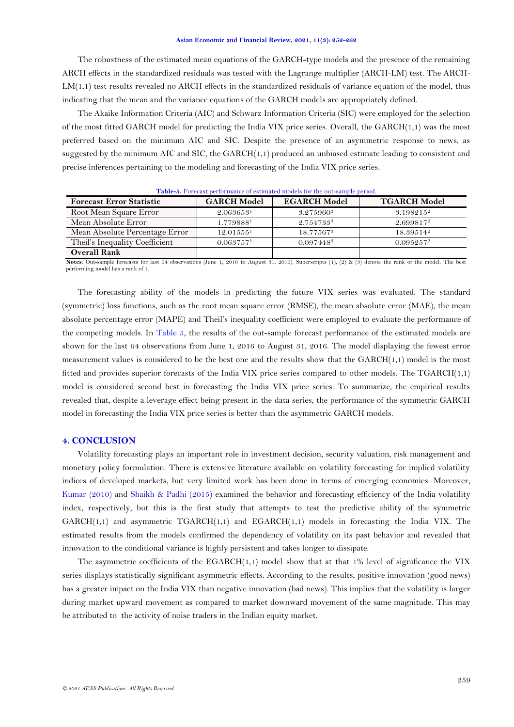<span id="page-7-0"></span>The robustness of the estimated mean equations of the GARCH-type models and the presence of the remaining ARCH effects in the standardized residuals was tested with the Lagrange multiplier (ARCH-LM) test. The ARCH-LM(1,1) test results revealed no ARCH effects in the standardized residuals of variance equation of the model, thus indicating that the mean and the variance equations of the GARCH models are appropriately defined.

The Akaike Information Criteria (AIC) and Schwarz Information Criteria (SIC) were employed for the selection of the most fitted GARCH model for predicting the India VIX price series. Overall, the GARCH(1,1) was the most preferred based on the minimum AIC and SIC. Despite the presence of an asymmetric response to news, as suggested by the minimum AIC and SIC, the GARCH(1,1) produced an unbiased estimate leading to consistent and precise inferences pertaining to the modeling and forecasting of the India VIX price series.

| <b>Forecast Error Statistic</b> | <b>GARCH Model</b>    | <b>EGARCH Model</b>   | <b>TGARCH Model</b> |
|---------------------------------|-----------------------|-----------------------|---------------------|
| Root Mean Square Error          | 2.063653 <sup>1</sup> | 3.275960 <sup>3</sup> | $3.198215^2$        |
| Mean Absolute Error             | 1.7798881             | 2.7547333             | 2.6998172           |
| Mean Absolute Percentage Error  | 12.01555 <sup>1</sup> | 18.77567 <sup>3</sup> | $18.39514^2$        |
| Theil's Inequality Coefficient  | 0.063757 <sup>1</sup> | 0.097448 <sup>3</sup> | $0.095257^2$        |
| <b>Overall Rank</b>             |                       |                       |                     |

**Table-5.** Forecast performance of estimated models for the out-sample period.

**Notes:** Out-sample forecasts for last 64 observations (June 1, 2016 to August 31, 2016). Superscripts (1), (2) & (3) denote the rank of the model. The best performing model has a rank of 1.

The forecasting ability of the models in predicting the future VIX series was evaluated. The standard (symmetric) loss functions, such as the root mean square error (RMSE), the mean absolute error (MAE), the mean absolute percentage error (MAPE) and Theil's inequality coefficient were employed to evaluate the performance of the competing models. In [Table 5,](#page-6-1) the results of the out-sample forecast performance of the estimated models are shown for the last 64 observations from June 1, 2016 to August 31, 2016. The model displaying the fewest error measurement values is considered to be the best one and the results show that the GARCH(1,1) model is the most fitted and provides superior forecasts of the India VIX price series compared to other models. The TGARCH(1,1) model is considered second best in forecasting the India VIX price series. To summarize, the empirical results revealed that, despite a leverage effect being present in the data series, the performance of the symmetric GARCH model in forecasting the India VIX price series is better than the asymmetric GARCH models.

## **4. CONCLUSION**

Volatility forecasting plays an important role in investment decision, security valuation, risk management and monetary policy formulation. There is extensive literature available on volatility forecasting for implied volatility indices of developed markets, but very limited work has been done in terms of emerging economies. Moreover, [Kumar \(2010\)](#page-9-10) and Shaikh & [Padhi \(2015\)](#page-9-4) examined the behavior and forecasting efficiency of the India volatility index, respectively, but this is the first study that attempts to test the predictive ability of the symmetric  $GARCH(1,1)$  and asymmetric  $TGARCH(1,1)$  and  $EGARCH(1,1)$  models in forecasting the India VIX. The estimated results from the models confirmed the dependency of volatility on its past behavior and revealed that innovation to the conditional variance is highly persistent and takes longer to dissipate.

The asymmetric coefficients of the  $EGARCH(1,1)$  model show that at that  $1\%$  level of significance the VIX series displays statistically significant asymmetric effects. According to the results, positive innovation (good news) has a greater impact on the India VIX than negative innovation (bad news). This implies that the volatility is larger during market upward movement as compared to market downward movement of the same magnitude. This may be attributed to the activity of noise traders in the Indian equity market.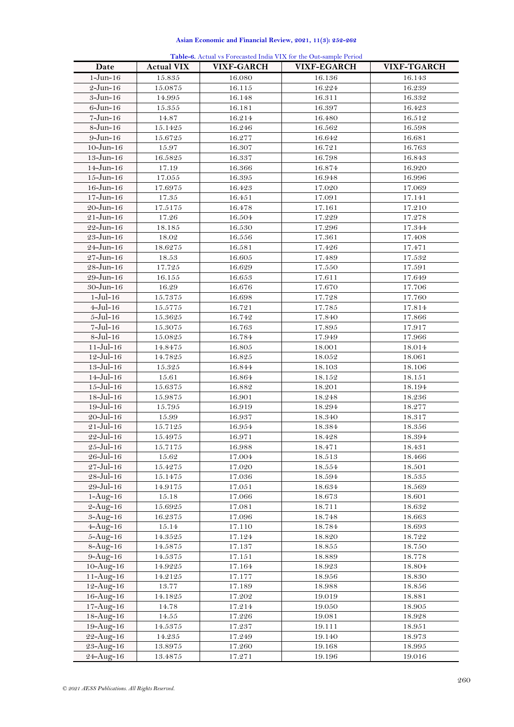| $1-J$ un- $16$<br>15.835<br>16.080<br>16.136<br>16.143<br>$2$ -Jun-16<br>15.0875<br>16.115<br>16.224<br>16.239<br>3-Jun-16<br>14.995<br>16.148<br>16.311<br>16.332<br>15.355<br>$6 - Jun-16$<br>16.181<br>16.397<br>16.423<br>$7 - Jun-16$<br>16.214<br>16.512<br>14.87<br>16.480<br>$8 - Jun-16$<br>15.1425<br>16.246<br>16.562<br>16.598<br>$9$ -Jun-16<br>16.277<br>15.6725<br>16.642<br>16.681<br>$10 - Jun - 16$<br>16.763<br>15.97<br>16.307<br>16.721<br>16.5825<br>16.337<br>16.798<br>$13 - Jun-16$<br>16.843<br>$14 - Jun - 16$<br>17.19<br>16.366<br>16.874<br>16.920<br>$15 - Jun - 16$<br>17.055<br>16.395<br>16.948<br>16.996<br>$16 - Jun - 16$<br>17.6975<br>17.069<br>16.423<br>17.020<br>$17 - Jun-16$<br>17.35<br>16.451<br>17.091<br>17.141<br>$20 - Jun - 16$<br>17.5175<br>16.478<br>17.161<br>17.210<br>$21 - Jun-16$<br>17.26<br>16.504<br>17.229<br>17.278<br>$22 - Jun-16$<br>18.185<br>16.530<br>17.296<br>17.344<br>$23 - Jun-16$<br>18.02<br>16.556<br>17.361<br>17.408<br>24–Jun–16<br>18.6275<br>16.581<br>17.426<br>17.471<br>$27 - Jun - 16$<br>17.532<br>18.53<br>16.605<br>17.489<br>$28 - Jun - 16$<br>17.725<br>16.629<br>17.550<br>17.591<br>17.649<br>$29 - Jun - 16$<br>16.155<br>16.653<br>17.611<br>17.706<br>$30 - Jun-16$<br>16.29<br>16.676<br>17.670<br>$1-Jul-16$<br>15.7375<br>17.728<br>17.760<br>16.698<br>$4 -$ Jul $-16$<br>15.5775<br>16.721<br>17.785<br>17.814<br>$5 -$ Jul $-16$<br>16.742<br>15.3625<br>17.840<br>17.866<br>$7-Jul-16$<br>15.3075<br>16.763<br>17.895<br>17.917<br>$8$ -Jul-16<br>15.0825<br>16.784<br>17.949<br>17.966<br>$11 -$ Jul $-16$<br>14.8475<br>16.805<br>18.001<br>18.014<br>$12 -$ Jul-16<br>14.7825<br>16.825<br>18.052<br>18.061<br>$13 -$ Jul $-16$<br>15.325<br>16.844<br>18.103<br>18.106<br>$14 -$ Jul-16<br>15.61<br>16.864<br>18.152<br>18.151<br>$15 -$ Jul-16<br>15.6375<br>16.882<br>18.201<br>18.194<br>$18 -$ Jul $-16$<br>15.9875<br>16.901<br>18.248<br>18.236<br>$19 -$ Jul $-16$<br>15.795<br>16.919<br>18.294<br>18.277<br>$20 -$ Jul-16<br>15.99<br>16.937<br>18.340<br>18.317<br>$21 -$ Jul-16<br>15.7125<br>16.954<br>18.384<br>18.356<br>$22 -$ Jul-16<br>15.4975<br>16.971<br>18.394<br>18.428<br>25-Jul-16<br>15.7175<br>16.988<br>18.471<br>18.431<br>$26 -$ Jul–16<br>15.62<br>17.004<br>18.513<br>18.466<br>$27 -$ Jul-16<br>17.020<br>18.554<br>18.501<br>15.4275<br>28-Jul-16<br>15.1475<br>17.036<br>18.535<br>18.594<br>29-Jul-16<br>17.051<br>18.634<br>18.569<br>14.9175<br>$1-Aug-16$<br>15.18<br>17.066<br>18.673<br>18.601<br>$2-Aug-16$<br>17.081<br>18.711<br>18.632<br>15.6925<br>$3 - Aug-16$<br>17.096<br>18.663<br>16.2375<br>18.748<br>17.110<br>$4 - Aug - 16$<br>15.14<br>18.784<br>18.693<br>$5 - Aug - 16$<br>17.124<br>18.722<br>14.3525<br>18.820<br>$8-Aug-16$<br>17.137<br>$18.855\,$<br>14.5875<br>18.750<br>$9-Aug-16$<br>14.5375<br>17.151<br>18.778<br>18.889<br>$10-Aug-16$<br>14.9225<br>17.164<br>18.923<br>18.804<br>$11 - Aug-16$<br>17.177<br>18.956<br>18.830<br>14.2125<br>$12 - Aug - 16$<br>13.77<br>17.189<br>18.988<br>18.856<br>$16 - Aug - 16$<br>14.1825<br>17.202<br>19.019<br>18.881<br>$17 - Aug - 16$<br>17.214<br>14.78<br>19.050<br>18.905<br>$18 - Aug - 16$<br>14.55<br>17.226<br>19.081<br>18.928<br>17.237<br>19.111<br>$19 - \text{Aug} - 16$<br>14.5375<br>18.951<br>22-Aug-16<br>14.235<br>17.249<br>19.140<br>18.973<br>23-Aug-16<br>17.260<br>19.168<br>13.8975<br>18.995 | Date      | <b>Actual VIX</b> | <b>VIXF-GARCH</b> | <b>Table-6.</b> Actual vs Forecasted India VIA for the Out-sample Feriod<br><b>VIXF-EGARCH</b> | VIXF-TGARCH |
|-----------------------------------------------------------------------------------------------------------------------------------------------------------------------------------------------------------------------------------------------------------------------------------------------------------------------------------------------------------------------------------------------------------------------------------------------------------------------------------------------------------------------------------------------------------------------------------------------------------------------------------------------------------------------------------------------------------------------------------------------------------------------------------------------------------------------------------------------------------------------------------------------------------------------------------------------------------------------------------------------------------------------------------------------------------------------------------------------------------------------------------------------------------------------------------------------------------------------------------------------------------------------------------------------------------------------------------------------------------------------------------------------------------------------------------------------------------------------------------------------------------------------------------------------------------------------------------------------------------------------------------------------------------------------------------------------------------------------------------------------------------------------------------------------------------------------------------------------------------------------------------------------------------------------------------------------------------------------------------------------------------------------------------------------------------------------------------------------------------------------------------------------------------------------------------------------------------------------------------------------------------------------------------------------------------------------------------------------------------------------------------------------------------------------------------------------------------------------------------------------------------------------------------------------------------------------------------------------------------------------------------------------------------------------------------------------------------------------------------------------------------------------------------------------------------------------------------------------------------------------------------------------------------------------------------------------------------------------------------------------------------------------------------------------------------------------------------------------------------------------------------------------------------------------------------------------------------------------------------------------------------------------------------------------------------------------------------------------------------------------------------------------------------------------------------------------------|-----------|-------------------|-------------------|------------------------------------------------------------------------------------------------|-------------|
|                                                                                                                                                                                                                                                                                                                                                                                                                                                                                                                                                                                                                                                                                                                                                                                                                                                                                                                                                                                                                                                                                                                                                                                                                                                                                                                                                                                                                                                                                                                                                                                                                                                                                                                                                                                                                                                                                                                                                                                                                                                                                                                                                                                                                                                                                                                                                                                                                                                                                                                                                                                                                                                                                                                                                                                                                                                                                                                                                                                                                                                                                                                                                                                                                                                                                                                                                                                                                                                     |           |                   |                   |                                                                                                |             |
|                                                                                                                                                                                                                                                                                                                                                                                                                                                                                                                                                                                                                                                                                                                                                                                                                                                                                                                                                                                                                                                                                                                                                                                                                                                                                                                                                                                                                                                                                                                                                                                                                                                                                                                                                                                                                                                                                                                                                                                                                                                                                                                                                                                                                                                                                                                                                                                                                                                                                                                                                                                                                                                                                                                                                                                                                                                                                                                                                                                                                                                                                                                                                                                                                                                                                                                                                                                                                                                     |           |                   |                   |                                                                                                |             |
|                                                                                                                                                                                                                                                                                                                                                                                                                                                                                                                                                                                                                                                                                                                                                                                                                                                                                                                                                                                                                                                                                                                                                                                                                                                                                                                                                                                                                                                                                                                                                                                                                                                                                                                                                                                                                                                                                                                                                                                                                                                                                                                                                                                                                                                                                                                                                                                                                                                                                                                                                                                                                                                                                                                                                                                                                                                                                                                                                                                                                                                                                                                                                                                                                                                                                                                                                                                                                                                     |           |                   |                   |                                                                                                |             |
|                                                                                                                                                                                                                                                                                                                                                                                                                                                                                                                                                                                                                                                                                                                                                                                                                                                                                                                                                                                                                                                                                                                                                                                                                                                                                                                                                                                                                                                                                                                                                                                                                                                                                                                                                                                                                                                                                                                                                                                                                                                                                                                                                                                                                                                                                                                                                                                                                                                                                                                                                                                                                                                                                                                                                                                                                                                                                                                                                                                                                                                                                                                                                                                                                                                                                                                                                                                                                                                     |           |                   |                   |                                                                                                |             |
|                                                                                                                                                                                                                                                                                                                                                                                                                                                                                                                                                                                                                                                                                                                                                                                                                                                                                                                                                                                                                                                                                                                                                                                                                                                                                                                                                                                                                                                                                                                                                                                                                                                                                                                                                                                                                                                                                                                                                                                                                                                                                                                                                                                                                                                                                                                                                                                                                                                                                                                                                                                                                                                                                                                                                                                                                                                                                                                                                                                                                                                                                                                                                                                                                                                                                                                                                                                                                                                     |           |                   |                   |                                                                                                |             |
|                                                                                                                                                                                                                                                                                                                                                                                                                                                                                                                                                                                                                                                                                                                                                                                                                                                                                                                                                                                                                                                                                                                                                                                                                                                                                                                                                                                                                                                                                                                                                                                                                                                                                                                                                                                                                                                                                                                                                                                                                                                                                                                                                                                                                                                                                                                                                                                                                                                                                                                                                                                                                                                                                                                                                                                                                                                                                                                                                                                                                                                                                                                                                                                                                                                                                                                                                                                                                                                     |           |                   |                   |                                                                                                |             |
|                                                                                                                                                                                                                                                                                                                                                                                                                                                                                                                                                                                                                                                                                                                                                                                                                                                                                                                                                                                                                                                                                                                                                                                                                                                                                                                                                                                                                                                                                                                                                                                                                                                                                                                                                                                                                                                                                                                                                                                                                                                                                                                                                                                                                                                                                                                                                                                                                                                                                                                                                                                                                                                                                                                                                                                                                                                                                                                                                                                                                                                                                                                                                                                                                                                                                                                                                                                                                                                     |           |                   |                   |                                                                                                |             |
|                                                                                                                                                                                                                                                                                                                                                                                                                                                                                                                                                                                                                                                                                                                                                                                                                                                                                                                                                                                                                                                                                                                                                                                                                                                                                                                                                                                                                                                                                                                                                                                                                                                                                                                                                                                                                                                                                                                                                                                                                                                                                                                                                                                                                                                                                                                                                                                                                                                                                                                                                                                                                                                                                                                                                                                                                                                                                                                                                                                                                                                                                                                                                                                                                                                                                                                                                                                                                                                     |           |                   |                   |                                                                                                |             |
|                                                                                                                                                                                                                                                                                                                                                                                                                                                                                                                                                                                                                                                                                                                                                                                                                                                                                                                                                                                                                                                                                                                                                                                                                                                                                                                                                                                                                                                                                                                                                                                                                                                                                                                                                                                                                                                                                                                                                                                                                                                                                                                                                                                                                                                                                                                                                                                                                                                                                                                                                                                                                                                                                                                                                                                                                                                                                                                                                                                                                                                                                                                                                                                                                                                                                                                                                                                                                                                     |           |                   |                   |                                                                                                |             |
|                                                                                                                                                                                                                                                                                                                                                                                                                                                                                                                                                                                                                                                                                                                                                                                                                                                                                                                                                                                                                                                                                                                                                                                                                                                                                                                                                                                                                                                                                                                                                                                                                                                                                                                                                                                                                                                                                                                                                                                                                                                                                                                                                                                                                                                                                                                                                                                                                                                                                                                                                                                                                                                                                                                                                                                                                                                                                                                                                                                                                                                                                                                                                                                                                                                                                                                                                                                                                                                     |           |                   |                   |                                                                                                |             |
|                                                                                                                                                                                                                                                                                                                                                                                                                                                                                                                                                                                                                                                                                                                                                                                                                                                                                                                                                                                                                                                                                                                                                                                                                                                                                                                                                                                                                                                                                                                                                                                                                                                                                                                                                                                                                                                                                                                                                                                                                                                                                                                                                                                                                                                                                                                                                                                                                                                                                                                                                                                                                                                                                                                                                                                                                                                                                                                                                                                                                                                                                                                                                                                                                                                                                                                                                                                                                                                     |           |                   |                   |                                                                                                |             |
|                                                                                                                                                                                                                                                                                                                                                                                                                                                                                                                                                                                                                                                                                                                                                                                                                                                                                                                                                                                                                                                                                                                                                                                                                                                                                                                                                                                                                                                                                                                                                                                                                                                                                                                                                                                                                                                                                                                                                                                                                                                                                                                                                                                                                                                                                                                                                                                                                                                                                                                                                                                                                                                                                                                                                                                                                                                                                                                                                                                                                                                                                                                                                                                                                                                                                                                                                                                                                                                     |           |                   |                   |                                                                                                |             |
|                                                                                                                                                                                                                                                                                                                                                                                                                                                                                                                                                                                                                                                                                                                                                                                                                                                                                                                                                                                                                                                                                                                                                                                                                                                                                                                                                                                                                                                                                                                                                                                                                                                                                                                                                                                                                                                                                                                                                                                                                                                                                                                                                                                                                                                                                                                                                                                                                                                                                                                                                                                                                                                                                                                                                                                                                                                                                                                                                                                                                                                                                                                                                                                                                                                                                                                                                                                                                                                     |           |                   |                   |                                                                                                |             |
|                                                                                                                                                                                                                                                                                                                                                                                                                                                                                                                                                                                                                                                                                                                                                                                                                                                                                                                                                                                                                                                                                                                                                                                                                                                                                                                                                                                                                                                                                                                                                                                                                                                                                                                                                                                                                                                                                                                                                                                                                                                                                                                                                                                                                                                                                                                                                                                                                                                                                                                                                                                                                                                                                                                                                                                                                                                                                                                                                                                                                                                                                                                                                                                                                                                                                                                                                                                                                                                     |           |                   |                   |                                                                                                |             |
|                                                                                                                                                                                                                                                                                                                                                                                                                                                                                                                                                                                                                                                                                                                                                                                                                                                                                                                                                                                                                                                                                                                                                                                                                                                                                                                                                                                                                                                                                                                                                                                                                                                                                                                                                                                                                                                                                                                                                                                                                                                                                                                                                                                                                                                                                                                                                                                                                                                                                                                                                                                                                                                                                                                                                                                                                                                                                                                                                                                                                                                                                                                                                                                                                                                                                                                                                                                                                                                     |           |                   |                   |                                                                                                |             |
|                                                                                                                                                                                                                                                                                                                                                                                                                                                                                                                                                                                                                                                                                                                                                                                                                                                                                                                                                                                                                                                                                                                                                                                                                                                                                                                                                                                                                                                                                                                                                                                                                                                                                                                                                                                                                                                                                                                                                                                                                                                                                                                                                                                                                                                                                                                                                                                                                                                                                                                                                                                                                                                                                                                                                                                                                                                                                                                                                                                                                                                                                                                                                                                                                                                                                                                                                                                                                                                     |           |                   |                   |                                                                                                |             |
|                                                                                                                                                                                                                                                                                                                                                                                                                                                                                                                                                                                                                                                                                                                                                                                                                                                                                                                                                                                                                                                                                                                                                                                                                                                                                                                                                                                                                                                                                                                                                                                                                                                                                                                                                                                                                                                                                                                                                                                                                                                                                                                                                                                                                                                                                                                                                                                                                                                                                                                                                                                                                                                                                                                                                                                                                                                                                                                                                                                                                                                                                                                                                                                                                                                                                                                                                                                                                                                     |           |                   |                   |                                                                                                |             |
|                                                                                                                                                                                                                                                                                                                                                                                                                                                                                                                                                                                                                                                                                                                                                                                                                                                                                                                                                                                                                                                                                                                                                                                                                                                                                                                                                                                                                                                                                                                                                                                                                                                                                                                                                                                                                                                                                                                                                                                                                                                                                                                                                                                                                                                                                                                                                                                                                                                                                                                                                                                                                                                                                                                                                                                                                                                                                                                                                                                                                                                                                                                                                                                                                                                                                                                                                                                                                                                     |           |                   |                   |                                                                                                |             |
|                                                                                                                                                                                                                                                                                                                                                                                                                                                                                                                                                                                                                                                                                                                                                                                                                                                                                                                                                                                                                                                                                                                                                                                                                                                                                                                                                                                                                                                                                                                                                                                                                                                                                                                                                                                                                                                                                                                                                                                                                                                                                                                                                                                                                                                                                                                                                                                                                                                                                                                                                                                                                                                                                                                                                                                                                                                                                                                                                                                                                                                                                                                                                                                                                                                                                                                                                                                                                                                     |           |                   |                   |                                                                                                |             |
|                                                                                                                                                                                                                                                                                                                                                                                                                                                                                                                                                                                                                                                                                                                                                                                                                                                                                                                                                                                                                                                                                                                                                                                                                                                                                                                                                                                                                                                                                                                                                                                                                                                                                                                                                                                                                                                                                                                                                                                                                                                                                                                                                                                                                                                                                                                                                                                                                                                                                                                                                                                                                                                                                                                                                                                                                                                                                                                                                                                                                                                                                                                                                                                                                                                                                                                                                                                                                                                     |           |                   |                   |                                                                                                |             |
|                                                                                                                                                                                                                                                                                                                                                                                                                                                                                                                                                                                                                                                                                                                                                                                                                                                                                                                                                                                                                                                                                                                                                                                                                                                                                                                                                                                                                                                                                                                                                                                                                                                                                                                                                                                                                                                                                                                                                                                                                                                                                                                                                                                                                                                                                                                                                                                                                                                                                                                                                                                                                                                                                                                                                                                                                                                                                                                                                                                                                                                                                                                                                                                                                                                                                                                                                                                                                                                     |           |                   |                   |                                                                                                |             |
|                                                                                                                                                                                                                                                                                                                                                                                                                                                                                                                                                                                                                                                                                                                                                                                                                                                                                                                                                                                                                                                                                                                                                                                                                                                                                                                                                                                                                                                                                                                                                                                                                                                                                                                                                                                                                                                                                                                                                                                                                                                                                                                                                                                                                                                                                                                                                                                                                                                                                                                                                                                                                                                                                                                                                                                                                                                                                                                                                                                                                                                                                                                                                                                                                                                                                                                                                                                                                                                     |           |                   |                   |                                                                                                |             |
|                                                                                                                                                                                                                                                                                                                                                                                                                                                                                                                                                                                                                                                                                                                                                                                                                                                                                                                                                                                                                                                                                                                                                                                                                                                                                                                                                                                                                                                                                                                                                                                                                                                                                                                                                                                                                                                                                                                                                                                                                                                                                                                                                                                                                                                                                                                                                                                                                                                                                                                                                                                                                                                                                                                                                                                                                                                                                                                                                                                                                                                                                                                                                                                                                                                                                                                                                                                                                                                     |           |                   |                   |                                                                                                |             |
|                                                                                                                                                                                                                                                                                                                                                                                                                                                                                                                                                                                                                                                                                                                                                                                                                                                                                                                                                                                                                                                                                                                                                                                                                                                                                                                                                                                                                                                                                                                                                                                                                                                                                                                                                                                                                                                                                                                                                                                                                                                                                                                                                                                                                                                                                                                                                                                                                                                                                                                                                                                                                                                                                                                                                                                                                                                                                                                                                                                                                                                                                                                                                                                                                                                                                                                                                                                                                                                     |           |                   |                   |                                                                                                |             |
|                                                                                                                                                                                                                                                                                                                                                                                                                                                                                                                                                                                                                                                                                                                                                                                                                                                                                                                                                                                                                                                                                                                                                                                                                                                                                                                                                                                                                                                                                                                                                                                                                                                                                                                                                                                                                                                                                                                                                                                                                                                                                                                                                                                                                                                                                                                                                                                                                                                                                                                                                                                                                                                                                                                                                                                                                                                                                                                                                                                                                                                                                                                                                                                                                                                                                                                                                                                                                                                     |           |                   |                   |                                                                                                |             |
|                                                                                                                                                                                                                                                                                                                                                                                                                                                                                                                                                                                                                                                                                                                                                                                                                                                                                                                                                                                                                                                                                                                                                                                                                                                                                                                                                                                                                                                                                                                                                                                                                                                                                                                                                                                                                                                                                                                                                                                                                                                                                                                                                                                                                                                                                                                                                                                                                                                                                                                                                                                                                                                                                                                                                                                                                                                                                                                                                                                                                                                                                                                                                                                                                                                                                                                                                                                                                                                     |           |                   |                   |                                                                                                |             |
|                                                                                                                                                                                                                                                                                                                                                                                                                                                                                                                                                                                                                                                                                                                                                                                                                                                                                                                                                                                                                                                                                                                                                                                                                                                                                                                                                                                                                                                                                                                                                                                                                                                                                                                                                                                                                                                                                                                                                                                                                                                                                                                                                                                                                                                                                                                                                                                                                                                                                                                                                                                                                                                                                                                                                                                                                                                                                                                                                                                                                                                                                                                                                                                                                                                                                                                                                                                                                                                     |           |                   |                   |                                                                                                |             |
|                                                                                                                                                                                                                                                                                                                                                                                                                                                                                                                                                                                                                                                                                                                                                                                                                                                                                                                                                                                                                                                                                                                                                                                                                                                                                                                                                                                                                                                                                                                                                                                                                                                                                                                                                                                                                                                                                                                                                                                                                                                                                                                                                                                                                                                                                                                                                                                                                                                                                                                                                                                                                                                                                                                                                                                                                                                                                                                                                                                                                                                                                                                                                                                                                                                                                                                                                                                                                                                     |           |                   |                   |                                                                                                |             |
|                                                                                                                                                                                                                                                                                                                                                                                                                                                                                                                                                                                                                                                                                                                                                                                                                                                                                                                                                                                                                                                                                                                                                                                                                                                                                                                                                                                                                                                                                                                                                                                                                                                                                                                                                                                                                                                                                                                                                                                                                                                                                                                                                                                                                                                                                                                                                                                                                                                                                                                                                                                                                                                                                                                                                                                                                                                                                                                                                                                                                                                                                                                                                                                                                                                                                                                                                                                                                                                     |           |                   |                   |                                                                                                |             |
|                                                                                                                                                                                                                                                                                                                                                                                                                                                                                                                                                                                                                                                                                                                                                                                                                                                                                                                                                                                                                                                                                                                                                                                                                                                                                                                                                                                                                                                                                                                                                                                                                                                                                                                                                                                                                                                                                                                                                                                                                                                                                                                                                                                                                                                                                                                                                                                                                                                                                                                                                                                                                                                                                                                                                                                                                                                                                                                                                                                                                                                                                                                                                                                                                                                                                                                                                                                                                                                     |           |                   |                   |                                                                                                |             |
|                                                                                                                                                                                                                                                                                                                                                                                                                                                                                                                                                                                                                                                                                                                                                                                                                                                                                                                                                                                                                                                                                                                                                                                                                                                                                                                                                                                                                                                                                                                                                                                                                                                                                                                                                                                                                                                                                                                                                                                                                                                                                                                                                                                                                                                                                                                                                                                                                                                                                                                                                                                                                                                                                                                                                                                                                                                                                                                                                                                                                                                                                                                                                                                                                                                                                                                                                                                                                                                     |           |                   |                   |                                                                                                |             |
|                                                                                                                                                                                                                                                                                                                                                                                                                                                                                                                                                                                                                                                                                                                                                                                                                                                                                                                                                                                                                                                                                                                                                                                                                                                                                                                                                                                                                                                                                                                                                                                                                                                                                                                                                                                                                                                                                                                                                                                                                                                                                                                                                                                                                                                                                                                                                                                                                                                                                                                                                                                                                                                                                                                                                                                                                                                                                                                                                                                                                                                                                                                                                                                                                                                                                                                                                                                                                                                     |           |                   |                   |                                                                                                |             |
|                                                                                                                                                                                                                                                                                                                                                                                                                                                                                                                                                                                                                                                                                                                                                                                                                                                                                                                                                                                                                                                                                                                                                                                                                                                                                                                                                                                                                                                                                                                                                                                                                                                                                                                                                                                                                                                                                                                                                                                                                                                                                                                                                                                                                                                                                                                                                                                                                                                                                                                                                                                                                                                                                                                                                                                                                                                                                                                                                                                                                                                                                                                                                                                                                                                                                                                                                                                                                                                     |           |                   |                   |                                                                                                |             |
|                                                                                                                                                                                                                                                                                                                                                                                                                                                                                                                                                                                                                                                                                                                                                                                                                                                                                                                                                                                                                                                                                                                                                                                                                                                                                                                                                                                                                                                                                                                                                                                                                                                                                                                                                                                                                                                                                                                                                                                                                                                                                                                                                                                                                                                                                                                                                                                                                                                                                                                                                                                                                                                                                                                                                                                                                                                                                                                                                                                                                                                                                                                                                                                                                                                                                                                                                                                                                                                     |           |                   |                   |                                                                                                |             |
|                                                                                                                                                                                                                                                                                                                                                                                                                                                                                                                                                                                                                                                                                                                                                                                                                                                                                                                                                                                                                                                                                                                                                                                                                                                                                                                                                                                                                                                                                                                                                                                                                                                                                                                                                                                                                                                                                                                                                                                                                                                                                                                                                                                                                                                                                                                                                                                                                                                                                                                                                                                                                                                                                                                                                                                                                                                                                                                                                                                                                                                                                                                                                                                                                                                                                                                                                                                                                                                     |           |                   |                   |                                                                                                |             |
|                                                                                                                                                                                                                                                                                                                                                                                                                                                                                                                                                                                                                                                                                                                                                                                                                                                                                                                                                                                                                                                                                                                                                                                                                                                                                                                                                                                                                                                                                                                                                                                                                                                                                                                                                                                                                                                                                                                                                                                                                                                                                                                                                                                                                                                                                                                                                                                                                                                                                                                                                                                                                                                                                                                                                                                                                                                                                                                                                                                                                                                                                                                                                                                                                                                                                                                                                                                                                                                     |           |                   |                   |                                                                                                |             |
|                                                                                                                                                                                                                                                                                                                                                                                                                                                                                                                                                                                                                                                                                                                                                                                                                                                                                                                                                                                                                                                                                                                                                                                                                                                                                                                                                                                                                                                                                                                                                                                                                                                                                                                                                                                                                                                                                                                                                                                                                                                                                                                                                                                                                                                                                                                                                                                                                                                                                                                                                                                                                                                                                                                                                                                                                                                                                                                                                                                                                                                                                                                                                                                                                                                                                                                                                                                                                                                     |           |                   |                   |                                                                                                |             |
|                                                                                                                                                                                                                                                                                                                                                                                                                                                                                                                                                                                                                                                                                                                                                                                                                                                                                                                                                                                                                                                                                                                                                                                                                                                                                                                                                                                                                                                                                                                                                                                                                                                                                                                                                                                                                                                                                                                                                                                                                                                                                                                                                                                                                                                                                                                                                                                                                                                                                                                                                                                                                                                                                                                                                                                                                                                                                                                                                                                                                                                                                                                                                                                                                                                                                                                                                                                                                                                     |           |                   |                   |                                                                                                |             |
|                                                                                                                                                                                                                                                                                                                                                                                                                                                                                                                                                                                                                                                                                                                                                                                                                                                                                                                                                                                                                                                                                                                                                                                                                                                                                                                                                                                                                                                                                                                                                                                                                                                                                                                                                                                                                                                                                                                                                                                                                                                                                                                                                                                                                                                                                                                                                                                                                                                                                                                                                                                                                                                                                                                                                                                                                                                                                                                                                                                                                                                                                                                                                                                                                                                                                                                                                                                                                                                     |           |                   |                   |                                                                                                |             |
|                                                                                                                                                                                                                                                                                                                                                                                                                                                                                                                                                                                                                                                                                                                                                                                                                                                                                                                                                                                                                                                                                                                                                                                                                                                                                                                                                                                                                                                                                                                                                                                                                                                                                                                                                                                                                                                                                                                                                                                                                                                                                                                                                                                                                                                                                                                                                                                                                                                                                                                                                                                                                                                                                                                                                                                                                                                                                                                                                                                                                                                                                                                                                                                                                                                                                                                                                                                                                                                     |           |                   |                   |                                                                                                |             |
|                                                                                                                                                                                                                                                                                                                                                                                                                                                                                                                                                                                                                                                                                                                                                                                                                                                                                                                                                                                                                                                                                                                                                                                                                                                                                                                                                                                                                                                                                                                                                                                                                                                                                                                                                                                                                                                                                                                                                                                                                                                                                                                                                                                                                                                                                                                                                                                                                                                                                                                                                                                                                                                                                                                                                                                                                                                                                                                                                                                                                                                                                                                                                                                                                                                                                                                                                                                                                                                     |           |                   |                   |                                                                                                |             |
|                                                                                                                                                                                                                                                                                                                                                                                                                                                                                                                                                                                                                                                                                                                                                                                                                                                                                                                                                                                                                                                                                                                                                                                                                                                                                                                                                                                                                                                                                                                                                                                                                                                                                                                                                                                                                                                                                                                                                                                                                                                                                                                                                                                                                                                                                                                                                                                                                                                                                                                                                                                                                                                                                                                                                                                                                                                                                                                                                                                                                                                                                                                                                                                                                                                                                                                                                                                                                                                     |           |                   |                   |                                                                                                |             |
|                                                                                                                                                                                                                                                                                                                                                                                                                                                                                                                                                                                                                                                                                                                                                                                                                                                                                                                                                                                                                                                                                                                                                                                                                                                                                                                                                                                                                                                                                                                                                                                                                                                                                                                                                                                                                                                                                                                                                                                                                                                                                                                                                                                                                                                                                                                                                                                                                                                                                                                                                                                                                                                                                                                                                                                                                                                                                                                                                                                                                                                                                                                                                                                                                                                                                                                                                                                                                                                     |           |                   |                   |                                                                                                |             |
|                                                                                                                                                                                                                                                                                                                                                                                                                                                                                                                                                                                                                                                                                                                                                                                                                                                                                                                                                                                                                                                                                                                                                                                                                                                                                                                                                                                                                                                                                                                                                                                                                                                                                                                                                                                                                                                                                                                                                                                                                                                                                                                                                                                                                                                                                                                                                                                                                                                                                                                                                                                                                                                                                                                                                                                                                                                                                                                                                                                                                                                                                                                                                                                                                                                                                                                                                                                                                                                     |           |                   |                   |                                                                                                |             |
|                                                                                                                                                                                                                                                                                                                                                                                                                                                                                                                                                                                                                                                                                                                                                                                                                                                                                                                                                                                                                                                                                                                                                                                                                                                                                                                                                                                                                                                                                                                                                                                                                                                                                                                                                                                                                                                                                                                                                                                                                                                                                                                                                                                                                                                                                                                                                                                                                                                                                                                                                                                                                                                                                                                                                                                                                                                                                                                                                                                                                                                                                                                                                                                                                                                                                                                                                                                                                                                     |           |                   |                   |                                                                                                |             |
|                                                                                                                                                                                                                                                                                                                                                                                                                                                                                                                                                                                                                                                                                                                                                                                                                                                                                                                                                                                                                                                                                                                                                                                                                                                                                                                                                                                                                                                                                                                                                                                                                                                                                                                                                                                                                                                                                                                                                                                                                                                                                                                                                                                                                                                                                                                                                                                                                                                                                                                                                                                                                                                                                                                                                                                                                                                                                                                                                                                                                                                                                                                                                                                                                                                                                                                                                                                                                                                     |           |                   |                   |                                                                                                |             |
|                                                                                                                                                                                                                                                                                                                                                                                                                                                                                                                                                                                                                                                                                                                                                                                                                                                                                                                                                                                                                                                                                                                                                                                                                                                                                                                                                                                                                                                                                                                                                                                                                                                                                                                                                                                                                                                                                                                                                                                                                                                                                                                                                                                                                                                                                                                                                                                                                                                                                                                                                                                                                                                                                                                                                                                                                                                                                                                                                                                                                                                                                                                                                                                                                                                                                                                                                                                                                                                     |           |                   |                   |                                                                                                |             |
|                                                                                                                                                                                                                                                                                                                                                                                                                                                                                                                                                                                                                                                                                                                                                                                                                                                                                                                                                                                                                                                                                                                                                                                                                                                                                                                                                                                                                                                                                                                                                                                                                                                                                                                                                                                                                                                                                                                                                                                                                                                                                                                                                                                                                                                                                                                                                                                                                                                                                                                                                                                                                                                                                                                                                                                                                                                                                                                                                                                                                                                                                                                                                                                                                                                                                                                                                                                                                                                     |           |                   |                   |                                                                                                |             |
|                                                                                                                                                                                                                                                                                                                                                                                                                                                                                                                                                                                                                                                                                                                                                                                                                                                                                                                                                                                                                                                                                                                                                                                                                                                                                                                                                                                                                                                                                                                                                                                                                                                                                                                                                                                                                                                                                                                                                                                                                                                                                                                                                                                                                                                                                                                                                                                                                                                                                                                                                                                                                                                                                                                                                                                                                                                                                                                                                                                                                                                                                                                                                                                                                                                                                                                                                                                                                                                     |           |                   |                   |                                                                                                |             |
|                                                                                                                                                                                                                                                                                                                                                                                                                                                                                                                                                                                                                                                                                                                                                                                                                                                                                                                                                                                                                                                                                                                                                                                                                                                                                                                                                                                                                                                                                                                                                                                                                                                                                                                                                                                                                                                                                                                                                                                                                                                                                                                                                                                                                                                                                                                                                                                                                                                                                                                                                                                                                                                                                                                                                                                                                                                                                                                                                                                                                                                                                                                                                                                                                                                                                                                                                                                                                                                     |           |                   |                   |                                                                                                |             |
|                                                                                                                                                                                                                                                                                                                                                                                                                                                                                                                                                                                                                                                                                                                                                                                                                                                                                                                                                                                                                                                                                                                                                                                                                                                                                                                                                                                                                                                                                                                                                                                                                                                                                                                                                                                                                                                                                                                                                                                                                                                                                                                                                                                                                                                                                                                                                                                                                                                                                                                                                                                                                                                                                                                                                                                                                                                                                                                                                                                                                                                                                                                                                                                                                                                                                                                                                                                                                                                     |           |                   |                   |                                                                                                |             |
|                                                                                                                                                                                                                                                                                                                                                                                                                                                                                                                                                                                                                                                                                                                                                                                                                                                                                                                                                                                                                                                                                                                                                                                                                                                                                                                                                                                                                                                                                                                                                                                                                                                                                                                                                                                                                                                                                                                                                                                                                                                                                                                                                                                                                                                                                                                                                                                                                                                                                                                                                                                                                                                                                                                                                                                                                                                                                                                                                                                                                                                                                                                                                                                                                                                                                                                                                                                                                                                     |           |                   |                   |                                                                                                |             |
|                                                                                                                                                                                                                                                                                                                                                                                                                                                                                                                                                                                                                                                                                                                                                                                                                                                                                                                                                                                                                                                                                                                                                                                                                                                                                                                                                                                                                                                                                                                                                                                                                                                                                                                                                                                                                                                                                                                                                                                                                                                                                                                                                                                                                                                                                                                                                                                                                                                                                                                                                                                                                                                                                                                                                                                                                                                                                                                                                                                                                                                                                                                                                                                                                                                                                                                                                                                                                                                     |           |                   |                   |                                                                                                |             |
|                                                                                                                                                                                                                                                                                                                                                                                                                                                                                                                                                                                                                                                                                                                                                                                                                                                                                                                                                                                                                                                                                                                                                                                                                                                                                                                                                                                                                                                                                                                                                                                                                                                                                                                                                                                                                                                                                                                                                                                                                                                                                                                                                                                                                                                                                                                                                                                                                                                                                                                                                                                                                                                                                                                                                                                                                                                                                                                                                                                                                                                                                                                                                                                                                                                                                                                                                                                                                                                     |           |                   |                   |                                                                                                |             |
|                                                                                                                                                                                                                                                                                                                                                                                                                                                                                                                                                                                                                                                                                                                                                                                                                                                                                                                                                                                                                                                                                                                                                                                                                                                                                                                                                                                                                                                                                                                                                                                                                                                                                                                                                                                                                                                                                                                                                                                                                                                                                                                                                                                                                                                                                                                                                                                                                                                                                                                                                                                                                                                                                                                                                                                                                                                                                                                                                                                                                                                                                                                                                                                                                                                                                                                                                                                                                                                     |           |                   |                   |                                                                                                |             |
|                                                                                                                                                                                                                                                                                                                                                                                                                                                                                                                                                                                                                                                                                                                                                                                                                                                                                                                                                                                                                                                                                                                                                                                                                                                                                                                                                                                                                                                                                                                                                                                                                                                                                                                                                                                                                                                                                                                                                                                                                                                                                                                                                                                                                                                                                                                                                                                                                                                                                                                                                                                                                                                                                                                                                                                                                                                                                                                                                                                                                                                                                                                                                                                                                                                                                                                                                                                                                                                     |           |                   |                   |                                                                                                |             |
|                                                                                                                                                                                                                                                                                                                                                                                                                                                                                                                                                                                                                                                                                                                                                                                                                                                                                                                                                                                                                                                                                                                                                                                                                                                                                                                                                                                                                                                                                                                                                                                                                                                                                                                                                                                                                                                                                                                                                                                                                                                                                                                                                                                                                                                                                                                                                                                                                                                                                                                                                                                                                                                                                                                                                                                                                                                                                                                                                                                                                                                                                                                                                                                                                                                                                                                                                                                                                                                     |           |                   |                   |                                                                                                |             |
|                                                                                                                                                                                                                                                                                                                                                                                                                                                                                                                                                                                                                                                                                                                                                                                                                                                                                                                                                                                                                                                                                                                                                                                                                                                                                                                                                                                                                                                                                                                                                                                                                                                                                                                                                                                                                                                                                                                                                                                                                                                                                                                                                                                                                                                                                                                                                                                                                                                                                                                                                                                                                                                                                                                                                                                                                                                                                                                                                                                                                                                                                                                                                                                                                                                                                                                                                                                                                                                     |           |                   |                   |                                                                                                |             |
|                                                                                                                                                                                                                                                                                                                                                                                                                                                                                                                                                                                                                                                                                                                                                                                                                                                                                                                                                                                                                                                                                                                                                                                                                                                                                                                                                                                                                                                                                                                                                                                                                                                                                                                                                                                                                                                                                                                                                                                                                                                                                                                                                                                                                                                                                                                                                                                                                                                                                                                                                                                                                                                                                                                                                                                                                                                                                                                                                                                                                                                                                                                                                                                                                                                                                                                                                                                                                                                     |           |                   |                   |                                                                                                |             |
|                                                                                                                                                                                                                                                                                                                                                                                                                                                                                                                                                                                                                                                                                                                                                                                                                                                                                                                                                                                                                                                                                                                                                                                                                                                                                                                                                                                                                                                                                                                                                                                                                                                                                                                                                                                                                                                                                                                                                                                                                                                                                                                                                                                                                                                                                                                                                                                                                                                                                                                                                                                                                                                                                                                                                                                                                                                                                                                                                                                                                                                                                                                                                                                                                                                                                                                                                                                                                                                     | 24-Aug-16 | 13.4875           | 17.271            | 19.196                                                                                         | 19.016      |

**Table-6.** Actual vs Forecasted India VIX for the Out-sample Period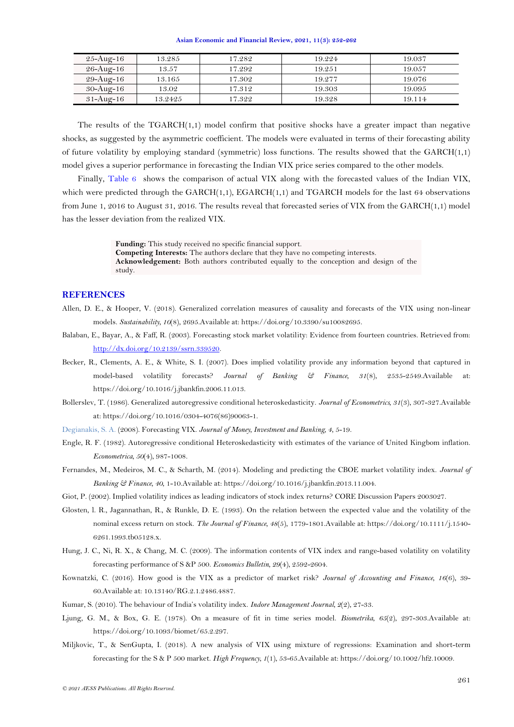<span id="page-9-4"></span>

| 25-Aug-16              | 13.285  | 17.282 | 19.224 | 19.037 |
|------------------------|---------|--------|--------|--------|
| 26-Aug-16              | 13.57   | 17.292 | 19.251 | 19.057 |
| 29-Aug-16              | 13.165  | 17.302 | 19.277 | 19.076 |
| $30 - \text{Aug} - 16$ | 13.02   | 17.312 | 19.303 | 19.095 |
| $31 - \text{Aug} - 16$ | 13.2425 | 17.322 | 19.328 | 19.114 |

The results of the  $TGARCH(1,1)$  model confirm that positive shocks have a greater impact than negative shocks, as suggested by the asymmetric coefficient. The models were evaluated in terms of their forecasting ability of future volatility by employing standard (symmetric) loss functions. The results showed that the  $GARCH(1,1)$ model gives a superior performance in forecasting the Indian VIX price series compared to the other models.

Finally, [Table 6](#page-7-0) shows the comparison of actual VIX along with the forecasted values of the Indian VIX, which were predicted through the  $GARCH(1,1)$ ,  $EGARCH(1,1)$  and  $TGARCH$  models for the last 64 observations from June 1, 2016 to August 31, 2016. The results reveal that forecasted series of VIX from the GARCH(1,1) model has the lesser deviation from the realized VIX.

> **Funding:** This study received no specific financial support. **Competing Interests:** The authors declare that they have no competing interests. **Acknowledgement:** Both authors contributed equally to the conception and design of the study.

## **REFERENCES**

- <span id="page-9-9"></span>Allen, D. E., & Hooper, V. (2018). Generalized correlation measures of causality and forecasts of the VIX using non-linear models. *Sustainability, 10*(8), 2695.Available at: https://doi.org/10.3390/su10082695.
- <span id="page-9-3"></span>Balaban, E., Bayar, A., & Faff, R. (2003). Forecasting stock market volatility: Evidence from fourteen countries. Retrieved from: [http://dx.doi.org/10.2139/ssrn.339520.](http://dx.doi.org/10.2139/ssrn.339520)
- <span id="page-9-1"></span>Becker, R., Clements, A. E., & White, S. I. (2007). Does implied volatility provide any information beyond that captured in model-based volatility forecasts? *Journal of Banking & Finance, 31*(8), 2535-2549.Available at: https://doi.org/10.1016/j.jbankfin.2006.11.013.
- <span id="page-9-12"></span>Bollerslev, T. (1986). Generalized autoregressive conditional heteroskedasticity. *Journal of Econometrics, 31*(3), 307-327.Available at: https://doi.org/10.1016/0304-4076(86)90063-1.
- <span id="page-9-5"></span>Degianakis, S. A. (2008). Forecasting VIX. *Journal of Money, Investment and Banking, 4*, 5-19.
- <span id="page-9-11"></span>Engle, R. F. (1982). Autoregressive conditional Heteroskedasticity with estimates of the variance of United Kingbom inflation. *Econometrica, 50*(4), 987-1008.
- <span id="page-9-6"></span>Fernandes, M., Medeiros, M. C., & Scharth, M. (2014). Modeling and predicting the CBOE market volatility index. *Journal of Banking & Finance, 40*, 1-10.Available at: https://doi.org/10.1016/j.jbankfin.2013.11.004.
- <span id="page-9-0"></span>Giot, P. (2002). Implied volatility indices as leading indicators of stock index returns? CORE Discussion Papers 2003027.
- <span id="page-9-13"></span>Glosten, l. R., Jagannathan, R., & Runkle, D. E. (1993). On the relation between the expected value and the volatility of the nominal excess return on stock. *The Journal of Finance, 48*(5), 1779-1801.Available at: https://doi.org/10.1111/j.1540- 6261.1993.tb05128.x.
- <span id="page-9-2"></span>Hung, J. C., Ni, R. X., & Chang, M. C. (2009). The information contents of VIX index and range-based volatility on volatility forecasting performance of S &P 500. *Economics Bulletin, 29*(4), 2592-2604.
- <span id="page-9-7"></span>Kownatzki, C. (2016). How good is the VIX as a predictor of market risk? *Journal of Accounting and Finance, 16*(6), 39- 60.Available at: 10.13140/RG.2.1.2486.4887.
- <span id="page-9-10"></span>Kumar, S. (2010). The behaviour of India's volatility index. *Indore Management Journal, 2*(2), 27-33.
- <span id="page-9-14"></span>Ljung, G. M., & Box, G. E. (1978). On a measure of fit in time series model. *Biometrika, 65*(2), 297-303.Available at: https://doi.org/10.1093/biomet/65.2.297.
- <span id="page-9-8"></span>Miljkovic, T., & SenGupta, I. (2018). A new analysis of VIX using mixture of regressions: Examination and short-term forecasting for the S & P 500 market. *High Frequency, 1*(1), 53-65.Available at: https://doi.org/10.1002/hf2.10009.